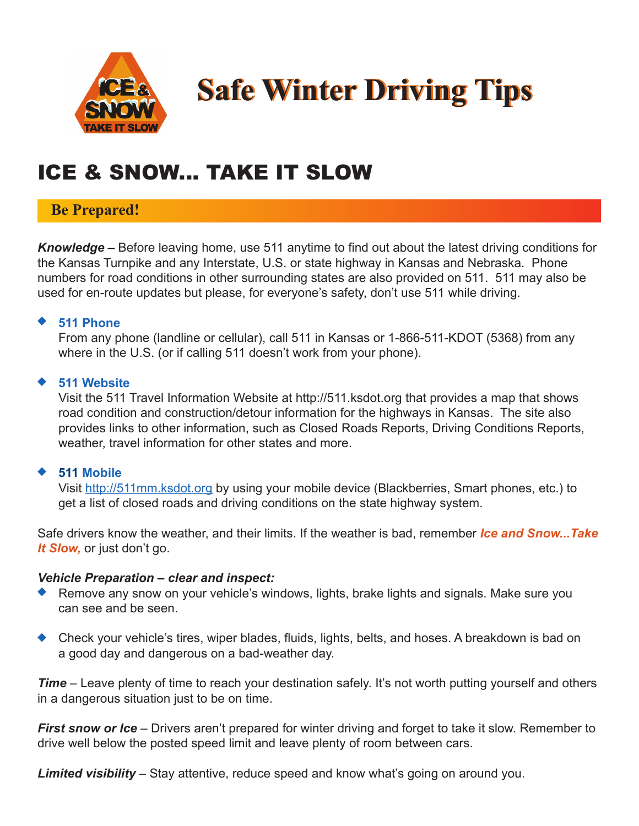

**Safe Winter Driving Tips Safe Winter Driving Tips**

# ICE & SNOW... TAKE IT SLOW

## **Be Prepared!**

*Knowledge –* Before leaving home, use 511 anytime to find out about the latest driving conditions for the Kansas Turnpike and any Interstate, U.S. or state highway in Kansas and Nebraska. Phone numbers for road conditions in other surrounding states are also provided on 511. 511 may also be used for en-route updates but please, for everyone's safety, don't use 511 while driving.

#### **511 Phone**

 From any phone (landline or cellular), call 511 in Kansas or 1-866-511-KDOT (5368) from any where in the U.S. (or if calling 511 doesn't work from your phone).

#### **511 Website**

 Visit the 511 Travel Information Website at http://511.ksdot.org that provides a map that shows road condition and construction/detour information for the highways in Kansas. The site also provides links to other information, such as Closed Roads Reports, Driving Conditions Reports, weather, travel information for other states and more.

#### **511 Mobile**

 Visit http://511mm.ksdot.org by using your mobile device (Blackberries, Smart phones, etc.) to get a list of closed roads and driving conditions on the state highway system.

Safe drivers know the weather, and their limits. If the weather is bad, remember *Ice and Snow...Take It Slow,* or just don't go.

#### *Vehicle Preparation – clear and inspect:*

- Remove any snow on your vehicle's windows, lights, brake lights and signals. Make sure you can see and be seen.
- ◆ Check your vehicle's tires, wiper blades, fluids, lights, belts, and hoses. A breakdown is bad on a good day and dangerous on a bad-weather day.

*Time* – Leave plenty of time to reach your destination safely. It's not worth putting yourself and others in a dangerous situation just to be on time.

*First snow or Ice* – Drivers aren't prepared for winter driving and forget to take it slow. Remember to drive well below the posted speed limit and leave plenty of room between cars.

*Limited visibility* – Stay attentive, reduce speed and know what's going on around you.